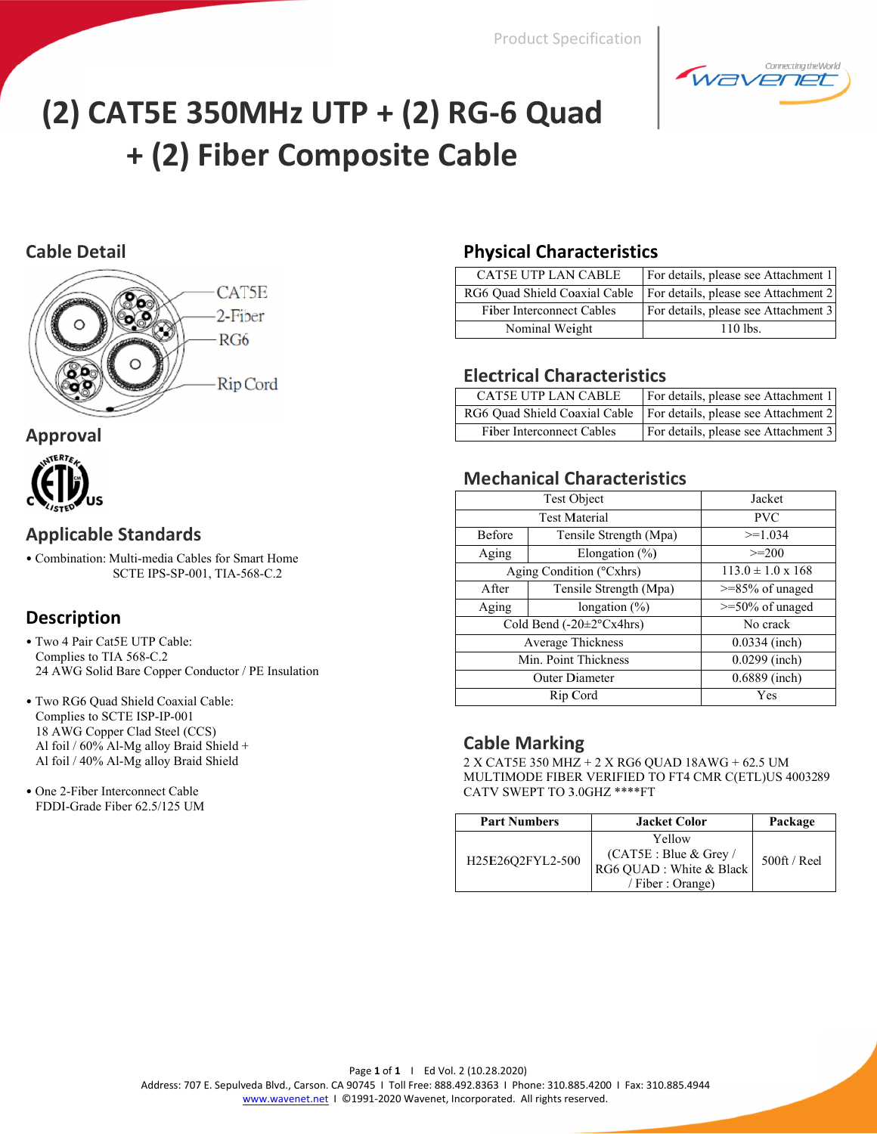

# (2) CAT5E 350MHz UTP + (2) RG-6 Quad + (2) Fiber Composite Cable

# **Cable Detail**



# **Approval**



# **Applicable Standards**

· Combination: Multi-media Cables for Smart Home SCTE IPS-SP-001, TIA-568-C.2

# **Description**

- Two 4 Pair Cat5E UTP Cable: Complies to TIA 568-C.2 24 AWG Solid Bare Copper Conductor / PE Insulation
- · Two RG6 Quad Shield Coaxial Cable: Complies to SCTE ISP-IP-001 18 AWG Copper Clad Steel (CCS) Al foil / 60% Al-Mg alloy Braid Shield + Al foil / 40% Al-Mg alloy Braid Shield
- One 2-Fiber Interconnect Cable FDDI-Grade Fiber 62.5/125 UM

# **Physical Characteristics**

| <b>CAT5E UTP LAN CABLE</b>       | For details, please see Attachment 1 |
|----------------------------------|--------------------------------------|
| RG6 Ouad Shield Coaxial Cable    | For details, please see Attachment 2 |
| <b>Fiber Interconnect Cables</b> | For details, please see Attachment 3 |
| Nominal Weight                   | $110$ lbs                            |

#### **Electrical Characteristics**

| <b>CAT5E UTP LAN CABLE</b>       | For details, please see Attachment 1                                 |
|----------------------------------|----------------------------------------------------------------------|
|                                  | RG6 Quad Shield Coaxial Cable   For details, please see Attachment 2 |
| <b>Fiber Interconnect Cables</b> | For details, please see Attachment 3                                 |

### **Mechanical Characteristics**

|                                        | <b>Test Object</b>       | Jacket                     |  |
|----------------------------------------|--------------------------|----------------------------|--|
| <b>Test Material</b>                   |                          | <b>PVC</b>                 |  |
| Before                                 | Tensile Strength (Mpa)   | $>=1.034$                  |  |
| Aging                                  | Elongation $(\% )$       | $>=200$                    |  |
|                                        | Aging Condition (°Cxhrs) | $113.0 \pm 1.0 \times 168$ |  |
| A fter                                 | Tensile Strength (Mpa)   | $>= 85\%$ of unaged        |  |
| Aging                                  | longation $(\% )$        | $>=50\%$ of unaged         |  |
| Cold Bend $(-20 \pm 2^{\circ} Cx4hrs)$ |                          | No crack                   |  |
|                                        | <b>Average Thickness</b> | $0.0334$ (inch)            |  |
| Min. Point Thickness                   |                          | $0.0299$ (inch)            |  |
|                                        | <b>Outer Diameter</b>    | 0.6889 (inch)              |  |
|                                        | Rip Cord                 | Yes                        |  |

# **Cable Marking**

 $2$  X CAT5E 350 MHz +  $2$  X RG6 QUAD 18AWG +  $62.5$  UM MULTIMODE FIBER VERIFIED TO FT4 CMR C(ETL)US 4003289 CATV SWEPT TO 3.0GHZ \*\*\*\*FT

| <b>Part Numbers</b> | <b>Jacket Color</b>                                                              | Package      |
|---------------------|----------------------------------------------------------------------------------|--------------|
| H25E26O2FYL2-500    | Yellow<br>(CAT5E : Blue & Grey /<br>RG6 QUAD : White & Black<br>/ Fiber: Orange) | 500ft / Real |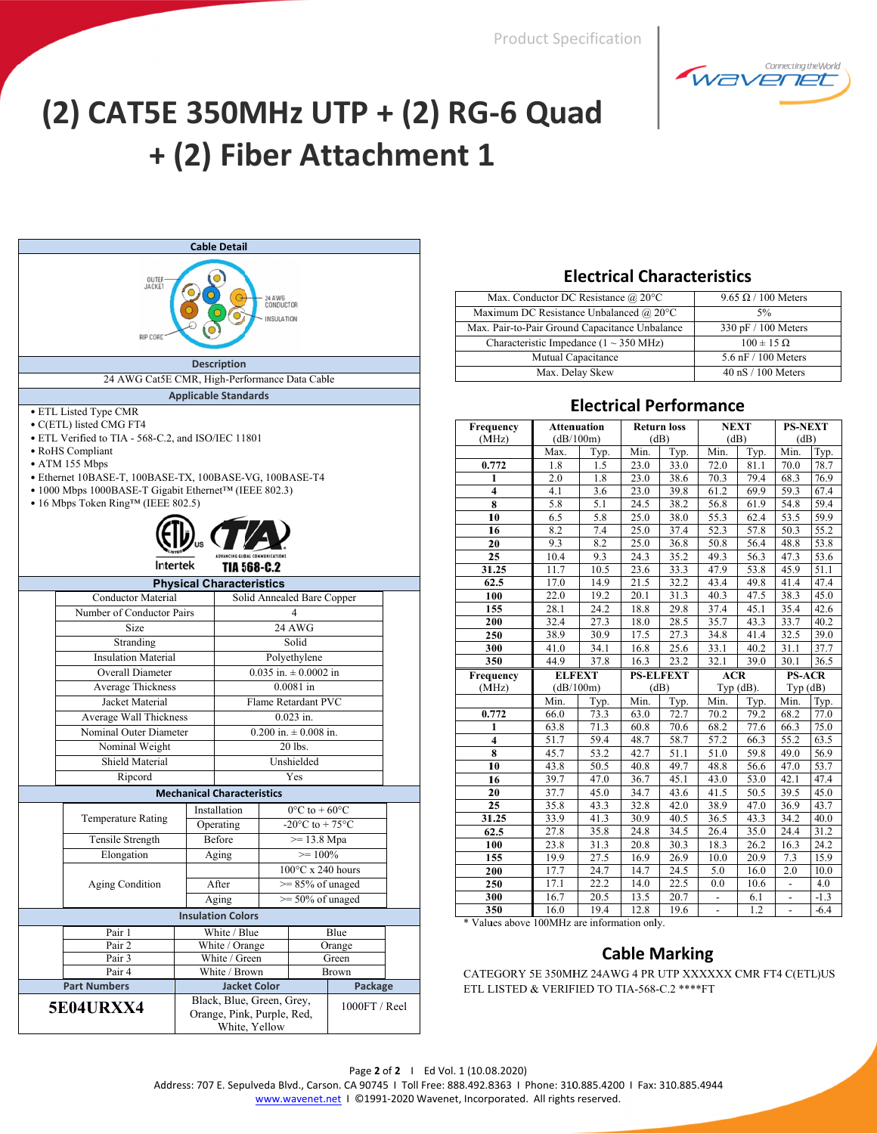

# (2) CAT5E 350MHz UTP + (2) RG-6 Quad + (2) Fiber Attachment 1

|               | <b>Cable Detail</b>                                                                                                                                                                                                                                                                                                                                             |  |                                   |  |                                       |                       |  |
|---------------|-----------------------------------------------------------------------------------------------------------------------------------------------------------------------------------------------------------------------------------------------------------------------------------------------------------------------------------------------------------------|--|-----------------------------------|--|---------------------------------------|-----------------------|--|
|               | OUTEF-<br><b>JACKET</b><br>24 AWG<br>CONDUCTOR<br><b>INSULATION</b><br>RIP CORD                                                                                                                                                                                                                                                                                 |  |                                   |  |                                       |                       |  |
|               |                                                                                                                                                                                                                                                                                                                                                                 |  | <b>Description</b>                |  |                                       |                       |  |
|               | 24 AWG Cat5E CMR, High-Performance Data Cable                                                                                                                                                                                                                                                                                                                   |  |                                   |  |                                       |                       |  |
|               |                                                                                                                                                                                                                                                                                                                                                                 |  |                                   |  |                                       |                       |  |
|               | <b>Applicable Standards</b><br>• ETL Listed Type CMR<br>• C(ETL) listed CMG FT4<br>• ETL Verified to TIA - 568-C.2, and ISO/IEC 11801<br>• RoHS Compliant<br>• ATM 155 Mbps<br>• Ethernet 10BASE-T, 100BASE-TX, 100BASE-VG, 100BASE-T4<br>• 1000 Mbps 1000BASE-T Gigabit Ethernet <sup>TM</sup> (IEEE 802.3)<br>• 16 Mbps Token Ring <sup>TM</sup> (IEEE 802.5) |  |                                   |  |                                       |                       |  |
|               | Intertek                                                                                                                                                                                                                                                                                                                                                        |  | <b>TIA 568-C.2</b>                |  |                                       |                       |  |
|               |                                                                                                                                                                                                                                                                                                                                                                 |  | <b>Physical Characteristics</b>   |  |                                       |                       |  |
|               | <b>Conductor Material</b>                                                                                                                                                                                                                                                                                                                                       |  |                                   |  | Solid Annealed Bare Copper            |                       |  |
|               | Number of Conductor Pairs                                                                                                                                                                                                                                                                                                                                       |  |                                   |  | 4                                     |                       |  |
|               | Size                                                                                                                                                                                                                                                                                                                                                            |  |                                   |  | <b>24 AWG</b>                         |                       |  |
|               | Stranding                                                                                                                                                                                                                                                                                                                                                       |  |                                   |  | Solid                                 |                       |  |
|               | <b>Insulation Material</b>                                                                                                                                                                                                                                                                                                                                      |  |                                   |  | Polyethylene                          |                       |  |
|               | Overall Diameter                                                                                                                                                                                                                                                                                                                                                |  |                                   |  | $0.035$ in. $\pm 0.0002$ in           |                       |  |
|               | Average Thickness                                                                                                                                                                                                                                                                                                                                               |  |                                   |  | $0.0081$ in                           |                       |  |
|               | Jacket Material                                                                                                                                                                                                                                                                                                                                                 |  |                                   |  | Flame Retardant PVC                   |                       |  |
|               | Average Wall Thickness                                                                                                                                                                                                                                                                                                                                          |  |                                   |  | $0.023$ in.                           |                       |  |
|               | Nominal Outer Diameter                                                                                                                                                                                                                                                                                                                                          |  |                                   |  | $0.200$ in. $\pm 0.008$ in.           |                       |  |
|               | Nominal Weight                                                                                                                                                                                                                                                                                                                                                  |  |                                   |  | 20 lbs.                               |                       |  |
|               | Shield Material                                                                                                                                                                                                                                                                                                                                                 |  |                                   |  | Unshielded                            |                       |  |
|               | Ripcord                                                                                                                                                                                                                                                                                                                                                         |  |                                   |  | Yes                                   |                       |  |
|               |                                                                                                                                                                                                                                                                                                                                                                 |  | <b>Mechanical Characteristics</b> |  |                                       |                       |  |
|               | <b>Temperature Rating</b>                                                                                                                                                                                                                                                                                                                                       |  | Installation                      |  | $0^{\circ}$ C to + 60 $^{\circ}$ C    |                       |  |
|               |                                                                                                                                                                                                                                                                                                                                                                 |  | Operating                         |  | -20 $^{\circ}$ C to + 75 $^{\circ}$ C |                       |  |
|               | Tensile Strength                                                                                                                                                                                                                                                                                                                                                |  | Before                            |  | $>= 13.8 \text{ Mpa}$                 |                       |  |
|               | Elongation                                                                                                                                                                                                                                                                                                                                                      |  | Aging                             |  | $>= 100\%$                            |                       |  |
|               |                                                                                                                                                                                                                                                                                                                                                                 |  |                                   |  | $100^{\circ}$ C x 240 hours           |                       |  |
|               | <b>Aging Condition</b>                                                                                                                                                                                                                                                                                                                                          |  | After                             |  | $>= 85\%$ of unaged                   |                       |  |
|               |                                                                                                                                                                                                                                                                                                                                                                 |  | Aging                             |  | $\ge$ 50% of unaged                   |                       |  |
|               |                                                                                                                                                                                                                                                                                                                                                                 |  | <b>Insulation Colors</b>          |  |                                       |                       |  |
|               | Pair 1                                                                                                                                                                                                                                                                                                                                                          |  | White / Blue                      |  |                                       | Blue                  |  |
|               | Pair <sub>2</sub>                                                                                                                                                                                                                                                                                                                                               |  | White / Orange                    |  |                                       | Orange                |  |
|               | Pair 3<br>Pair 4                                                                                                                                                                                                                                                                                                                                                |  | White / Green<br>White / Brown    |  |                                       | Green<br><b>Brown</b> |  |
|               | <b>Part Numbers</b>                                                                                                                                                                                                                                                                                                                                             |  | <b>Jacket Color</b>               |  |                                       | Package               |  |
|               |                                                                                                                                                                                                                                                                                                                                                                 |  | Black, Blue, Green, Grey,         |  |                                       |                       |  |
|               | <b>5E04URXX4</b>                                                                                                                                                                                                                                                                                                                                                |  | Orange, Pink, Purple, Red,        |  |                                       | 1000FT / Reel         |  |
| White, Yellow |                                                                                                                                                                                                                                                                                                                                                                 |  |                                   |  |                                       |                       |  |

#### **Electrical Characteristics**

| Max. Conductor DC Resistance @ 20°C                 | $9.65 \Omega / 100$ Meters           |
|-----------------------------------------------------|--------------------------------------|
| Maximum DC Resistance Unbalanced @ 20°C             | 5%                                   |
| Max. Pair-to-Pair Ground Capacitance Unbalance      | 330 pF / 100 Meters                  |
| Characteristic Impedance $(1 \sim 350 \text{ MHz})$ | $100 \pm 15 \Omega$                  |
| Mutual Capacitance                                  | $5.6$ nF $/$ 100 Meters              |
| Max. Delay Skew                                     | $40 \text{ nS} / 100 \text{ Meters}$ |

#### **Electrical Performance**

| Frequency               | <b>Attenuation</b> |              | <b>Return loss</b> |                  |                                                      | <b>NEXT</b>  | <b>PS-NEXT</b>           |                             |
|-------------------------|--------------------|--------------|--------------------|------------------|------------------------------------------------------|--------------|--------------------------|-----------------------------|
| (MHz)                   | (dB/100m)          |              |                    | (dB)             | (dB)                                                 |              | (dB)                     |                             |
|                         | Max.               | Typ.         | Min.               | Typ.             | Min.                                                 | Typ.         | Min.                     | Typ.                        |
| 0.772                   | 1.8                | 1.5          | 23.0               | 33.0             | 72.0                                                 | 81.1         | 70.0                     | 78.7                        |
| 1                       | $\overline{2.0}$   | 1.8          | 23.0               | 38.6             | 70.3                                                 | 79.4         | 68.3                     | 76.9                        |
| $\overline{\mathbf{4}}$ | 4.1                | 3.6          | 23.0               | 39.8             | 61.2                                                 | 69.9         | 59.3                     | 67.4                        |
| 8                       | 5.8                | 5.1          | 24.5               | 38.2             | 56.8                                                 | 61.9         | 54.8                     | 59.4                        |
| 10                      | 6.5                | 5.8          | 25.0               | 38.0             | 55.3                                                 | 62.4         | 53.5                     | 59.9                        |
| 16                      | 8.2                | 7.4          | 25.0               | 37.4             | 52.3                                                 | 57.8         | 50.3                     | 55.2                        |
| 20                      | 9.3                | 8.2          | 25.0               | 36.8             | 50.8                                                 | 56.4         | 48.8                     | 53.8                        |
| $\overline{25}$         | 10.4               | 9.3          | 24.3               | 35.2             | 49.3                                                 | 56.3         | 47.3                     | 53.6                        |
| 31.25                   | 11.7               | 10.5         | 23.6               | 33.3             | 47.9                                                 | 53.8         | 45.9                     | 51.1                        |
| 62.5                    | 17.0               | 14.9         | 21.5               | 32.2             | 43.4                                                 | 49.8         | 41.4                     | 47.4                        |
| 100                     | 22.0               | 19.2         | 20.1               | 31.3             | 40.3                                                 | 47.5         | 38.3                     | 45.0                        |
| 155                     | 28.1               | 24.2         | 18.8               | 29.8             | 37.4                                                 | 45.1         | 35.4                     | 42.6                        |
| 200                     | 32.4               | 27.3         | 18.0               | 28.5             | 35.7                                                 | 43.3         | 33.7                     | 40.2                        |
| 250                     | 38.9               | 30.9         | 17.5               | 27.3             | 34.8                                                 | 41.4         | 32.5                     | 39.0                        |
| 300                     | 41.0               | 34.1         | 16.8               | 25.6             | 33.1                                                 | 40.2         | 31.1                     | 37.7                        |
| 350                     | 44.9               | 37.8         | 16.3               | 23.2             | 32.1                                                 | 39.0         | 30.1                     | 36.5                        |
|                         |                    |              |                    |                  |                                                      |              |                          |                             |
| Frequency               | <b>ELFEXT</b>      |              |                    | <b>PS-ELFEXT</b> | <b>ACR</b>                                           |              | <b>PS-ACR</b>            |                             |
| (MHz)                   | (dB/100m)          |              |                    | (dB)             |                                                      | Typ $(dB)$ . | Typ(dB)                  |                             |
|                         | Min.               | Typ.         | Min.               | Typ.             | Min.                                                 | Typ.         | Min.                     | Typ.                        |
| 0.772                   | 66.0               | 73.3         | 63.0               | 72.7             | 70.2                                                 | 79.2         | 68.2                     | 77.0                        |
| 1                       | 63.8               | 71.3         | 60.8               | 70.6             | 68.2                                                 | 77.6         | 66.3                     | 75.0                        |
| $\overline{\bf{4}}$     | 51.7               | 59.4         | 48.7               | 58.7             | 57.2                                                 | 66.3         | 55.2                     | 63.5                        |
| $\overline{\mathbf{8}}$ | 45.7               | 53.2         | 42.7               | 51.1             | 51.0                                                 | 59.8         | 49.0                     | 56.9                        |
| 10                      | 43.8               | 50.5         | 40.8               | 49.7             | 48.8                                                 | 56.6         | 47.0                     | 53.7                        |
| 16                      | 39.7               | 47.0         | 36.7               | 45.1             | 43.0                                                 | 53.0         | 42.1                     | 47.4                        |
| 20                      | 37.7               | 45.0         | 34.7               | 43.6             | 41.5                                                 | 50.5         | 39.5                     | 45.0                        |
| 25                      | 35.8               | 43.3         | 32.8               | 42.0             | 38.9                                                 | 47.0         | 36.9                     | 43.7                        |
| 31.25                   | 33.9               | 41.3         | $\overline{30.9}$  | 40.5             | 36.5                                                 | 43.3         | 34.2                     | 40.0                        |
| 62.5                    | 27.8               | 35.8         | 24.8               | 34.5             | 26.4                                                 | 35.0         | 24.4                     | 31.2                        |
| 100                     | 23.8               | 31.3         | 20.8               | 30.3             | 18.3                                                 | 26.2         | 16.3                     | 24.2                        |
| 155                     | 19.9               | 27.5         | 16.9               | 26.9             | 10.0                                                 | 20.9         | 7.3                      | 15.9                        |
| 200                     | 17.7               | 24.7         | 14.7               | 24.5             | 5.0                                                  | 16.0         | 2.0                      | 10.0                        |
| 250                     | 17.1               | 22.2         | 14.0               | 22.5             | 0.0                                                  | 10.6         | $\overline{\phantom{a}}$ | 4.0                         |
| 300<br>350              | 16.7<br>16.0       | 20.5<br>19.4 | 13.5<br>12.8       | 20.7<br>19.6     | $\overline{\phantom{a}}$<br>$\overline{\phantom{a}}$ | 6.1<br>1.2   | $\overline{\phantom{0}}$ | $-1.\overline{3}$<br>$-6.4$ |

\* Values above 100MHz are information only.

#### **Cable Marking**

CATEGORY 5E 350MHZ 24AWG 4 PR UTP XXXXXX CMR FT4 C(ETL)US ETL LISTED & VERIFIED TO TIA-568-C.2 \*\*\*\*FT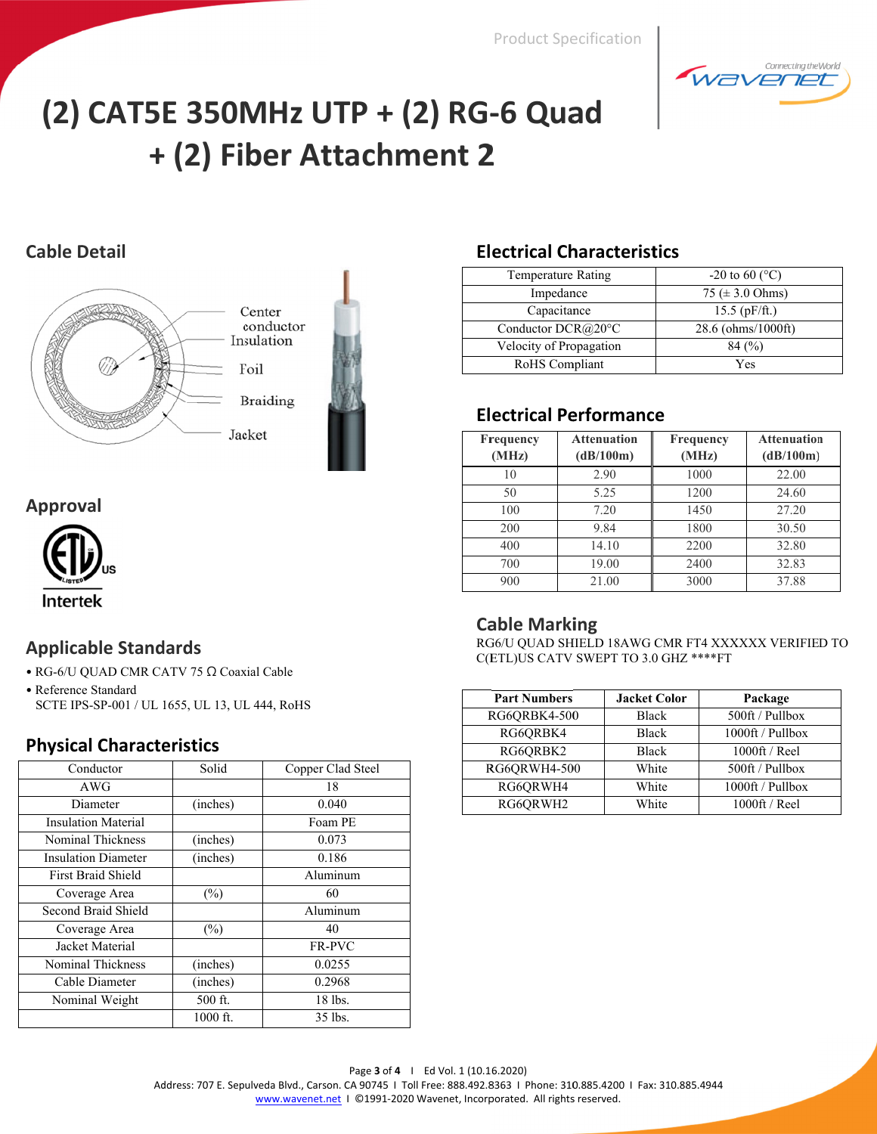

# (2) CAT5E 350MHz UTP + (2) RG-6 Quad + (2) Fiber Attachment 2

# **Cable Detail**



# **Approval**



# **Applicable Standards**

- RG-6/U QUAD CMR CATV 75 Ω Coaxial Cable
- Reference Standard SCTE IPS-SP-001 / UL 1655, UL 13, UL 444, RoHS

# **Physical Characteristics**

| Conductor                  | Solid    | Copper Clad Steel |
|----------------------------|----------|-------------------|
| AWG                        |          | 18                |
| Diameter                   | (inches) | 0.040             |
| <b>Insulation Material</b> |          | Foam PE           |
| Nominal Thickness          | (inches) | 0.073             |
| <b>Insulation Diameter</b> | (inches) | 0.186             |
| First Braid Shield         |          | Aluminum          |
| Coverage Area              | (%)      | 60                |
| Second Braid Shield        |          | Aluminum          |
| Coverage Area              | (%)      | 40                |
| Jacket Material            |          | <b>FR-PVC</b>     |
| <b>Nominal Thickness</b>   | (inches) | 0.0255            |
| Cable Diameter             | (inches) | 0.2968            |
| Nominal Weight             | 500 ft.  | 18 lbs.           |
|                            | 1000 ft. | 35 lbs.           |

# **Electrical Characteristics**

| <b>Temperature Rating</b>   | $-20$ to 60 (°C)     |
|-----------------------------|----------------------|
| Impedance                   | 75 ( $\pm$ 3.0 Ohms) |
| Capacitance                 | $15.5$ (pF/ft.)      |
| Conductor $DCR@20^{\circ}C$ | 28.6 (ohms/1000ft)   |
| Velocity of Propagation     | $84\,(%)$            |
| RoHS Compliant              | Yes                  |

# **Electrical Performance**

| <b>Frequency</b><br>(MHz) | <b>Attenuation</b><br>(dB/100m) | <b>Frequency</b><br>(MHz) | <b>Attenuation</b><br>(dB/100m) |
|---------------------------|---------------------------------|---------------------------|---------------------------------|
| 10                        | 2.90                            | 1000                      | 22.00                           |
| 50                        | 5.25                            | 1200                      | 24.60                           |
| 100                       | 7.20                            | 1450                      | 27.20                           |
| 200                       | 9.84                            | 1800                      | 30.50                           |
| 400                       | 14.10                           | 2200                      | 32.80                           |
| 700                       | 19.00                           | 2400                      | 32.83                           |
| 900                       | 21.00                           | 3000                      | 37.88                           |

# **Cable Marking**

RG6/U QUAD SHIELD 18AWG CMR FT4 XXXXXX VERIFIED TO C(ETL)US CATV SWEPT TO 3.0 GHZ \*\*\*\*FT

| <b>Part Numbers</b> | <b>Jacket Color</b> | Package          |
|---------------------|---------------------|------------------|
| RG6QRBK4-500        | <b>Black</b>        | 500ft / Pullbox  |
| RG6QRBK4            | <b>Black</b>        | 1000ft / Pullbox |
| RG6QRBK2            | <b>Black</b>        | 1000ft / Reel    |
| RG6QRWH4-500        | White               | 500ft / Pullbox  |
| RG6QRWH4            | White               | 1000ft / Pullbox |
| RG6QRWH2            | White               | 1000ft / Reel    |